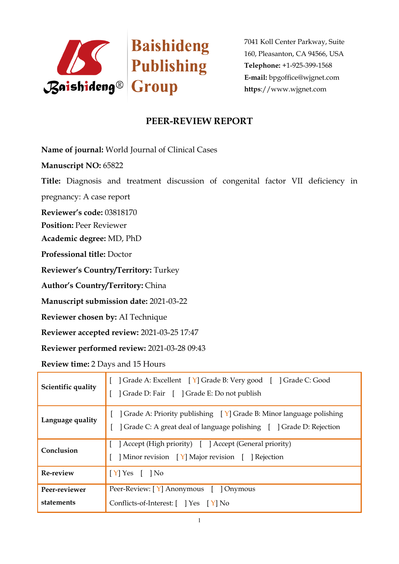

7041 Koll Center Parkway, Suite 160, Pleasanton, CA 94566, USA **Telephone:** +1-925-399-1568 **E-mail:** bpgoffice@wjgnet.com **https**://www.wjgnet.com

## **PEER-REVIEW REPORT**

**Name of journal:** World Journal of Clinical Cases

**Manuscript NO:** 65822

**Title:** Diagnosis and treatment discussion of congenital factor VII deficiency in

pregnancy: A case report

**Reviewer's code:** 03818170

**Position:** Peer Reviewer

**Academic degree:** MD, PhD

**Professional title:** Doctor

**Reviewer's Country/Territory:** Turkey

**Author's Country/Territory:** China

**Manuscript submission date:** 2021-03-22

**Reviewer chosen by:** AI Technique

**Reviewer accepted review:** 2021-03-25 17:47

**Reviewer performed review:** 2021-03-28 09:43

**Review time:** 2 Days and 15 Hours

| Scientific quality          | [ ] Grade A: Excellent [ Y] Grade B: Very good [ ] Grade C: Good<br>] Grade D: Fair [ ] Grade E: Do not publish                                                       |
|-----------------------------|-----------------------------------------------------------------------------------------------------------------------------------------------------------------------|
| Language quality            | [ $\int$ Grade A: Priority publishing $\left[\gamma\right]$ Grade B: Minor language polishing<br>] Grade C: A great deal of language polishing [ ] Grade D: Rejection |
| Conclusion                  | [ ] Accept (High priority) [ ] Accept (General priority)<br>] Minor revision [Y] Major revision [ ] Rejection                                                         |
| Re-review                   | $\vert$ [Y] Yes [ ] No                                                                                                                                                |
| Peer-reviewer<br>statements | Peer-Review: [Y] Anonymous [ ] Onymous<br>Conflicts-of-Interest: [ ] Yes [Y] No                                                                                       |